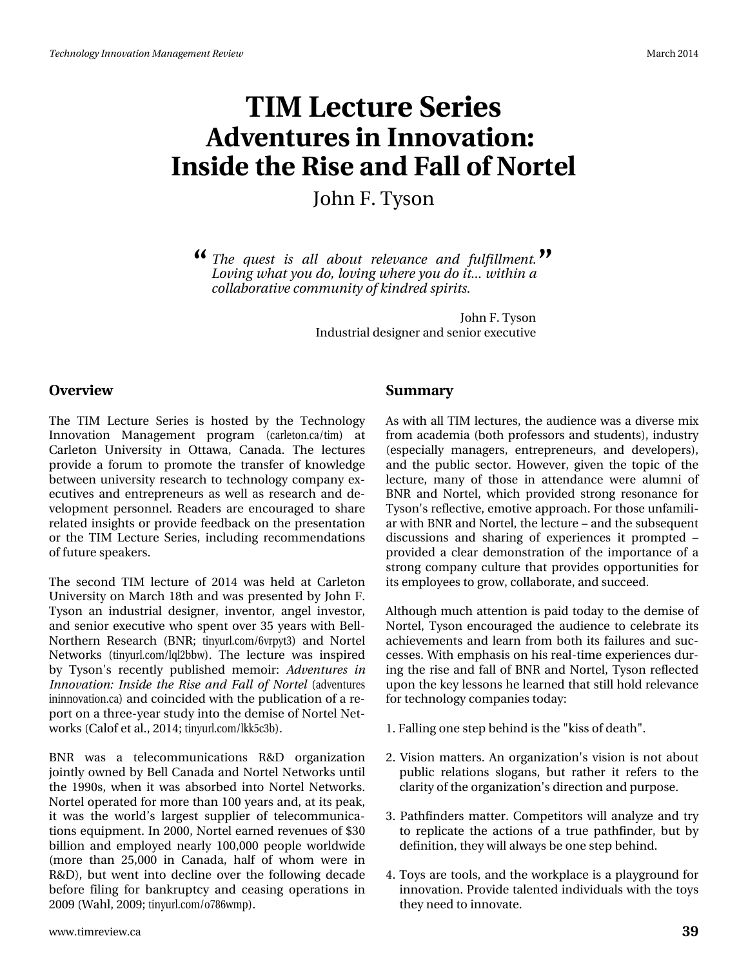# WLP #Chf w uh#/hulhv Dgyhqwx uhv#q#qqrydwrq# Lavigh#wkh#Ulvh#dqg#dco#i#Qruwho Mkq# #Wvrq

( Wkh#txhw#lv#doo#derxw#uhohydqfh#dqg#ixoiloophqw#lMl Orylqj#zkdw#rx#gr/#brylqj#zkhuh#|rx#gr#lw111#zlwklq#d# frooderudwyh#rppxqlw#i#llqguhg#slulw=1

> Mikq#1#Wivrq Lqgxwuldo#ghvljqhu#dqg#vhqlru#h{hfxwlyh

#### Ryhuylhz

With the HChr with the White White which the Hotel #with the White King of the With the Millian Superinten and Millian Superinten and Millian Superinten and Millian Superinten and Millian Superinten and Millian Superinten Lqqrydwrq#Pdqdjhphqw#surjudp##dubwrqfd2wlp,#dw Fduchwr q#X qlyhuvlw|#lq#Rwodz d/#Fdqdgd1#Wkh#dnfwxuhv# sur yigh#d#iruxp#wr#surprwh#wkh#wudqvihu#ri#ngrzohgjh# ehvzh hq#xqlyhuvlw|#uhvhdufk#w|#whikqrorj|#frpsdq|#h{0 hf x wyhv#dqg#hqwuhs uhqhx uv#dv#z hoo#dv#uhvhduf k #dqg#gh0 yhorsp hqwtshwr qqhol#Uhdghw#duh#hqfrxudjhg#wr#vkduh# uhodwhg#qvljkw#tu#surylgh#hhgedfn#q#wkh#suhvhqwdwlrq# ru#wkh#WLP#Ohfwxuh#Vhulhv/#lqfoxglqj#uhfrpphqgdwlrqv# ri#xwxuh#vshdnhuv#

Wikh#vhfrgg#WLP#dnfwxuh#ri#5347#zdv#khog#dw#Fdudnwrg# Xqlyhuvlw # q#P duf k#4; wk#dqg#z dv#suhvhqwhg#e|#Mlkq# # W vr q#dq#lqgx vwddd#ghvlj qhu/#lqyhqwr u/#dqj hd#lqyhvwr u/# dqg#vhqlru#h{hfxvlyyh#zkr#vshqv#ryhu#68#|hduv#zlwk#Ehoo0 Qr wikhug#Uhvhduf k#+EQU#wig|xwofrp 29yus|v6,#dqg#Qr wuhd# Qhwz runv#+wlq|xuofirp 2dt o5eez, #HVKh#ohfwxuh#zdv#lqvsluhg# e #W vr g \$ # uhf hq vol # s x e d vk hg # p hp r l u # Dg y hq ws u h v # l q Laqrydwr q=#Laydgh#wkh#Ulvh#dqg#ldoo#ri#Qruwho#+dgyhqwxuhv lqlqqrydwrqfd,#dqg#frlqflghg#zlwk#wkh#sxedfdwrq#i#d#uh0 sr uw# g#d#wk uhh0 hdu#wx g|#gwr#wk h#ghp lvh#i#Qr uwhd#Qhw0 z r unv#Fdori#N#dol/#5347;#Mg|xuofrp2onn8f6e, #

EQU# z dv# d# whohf r p p x q l f dwhr q v# U) G# r uj dql } dwhr q # mlqwo)# z qhg#e|#Ehoo#Fdqdgd#dqg#Qruwho#Qhwzrunv#xqwlo# wkh#4<<3v/#z khq#w#z dv#devruehg#qwr#Qruwho#Qhwzrunv# Qruvhol#shudvhg#ru#pruh#wkdq#433#hduv#dqg/#dv#tw#shdn/# lw#zdv#wkh#zruog\*v#odujhvw#vxssolhu#ri#whohfrppxqlfd0 who qv#ht xlsp hqw#Lq#5333/#Qruwho#hduqhg#Unyhqxhv#ti#63# elootrq#dqg#hpsor|hg#qhduo|#433/333#shrsoh#zruogzlgh# +pruh#wkdq#58/333#lq#Fdqdgd/#kdoi#ri#zkrp#zhuh#lq# U) G, / #exwitz hqwilqwr #ghf dqh #r yhu# wk h#i r oor z lqj #ghf dgh # ehir uh#ildqj#iru#edqnuxswf|#dqg#fhdvlqj#rshudwlrqv#lq# 533<#Z dk o/#533<#Wq| xuofirp 2r:; 9z p s, 1

#### Vxppdu

Dv#z lvk #doo#NLP #bhf wx uhv/#wk h#dx glhqf h#z dv#d#glyhuvh#p l{# iurp #dfdghpld#erwk#surihwruv#dqg#wxghqwv,/#qgxwwq# +hvshfldool#pdqdjhuv/#hqwuhsuhqhxuv/#dqg#ghyhorshuv,/# dqg#wkh#sxedf#vhfwru1#Krzhyhu/#jlyhq#wkh#wrslf#ri#wkh# dnfwsuh/#pdq|#ri#wkrvh#lq#dwwhqqdqfh#zhuh#doxpql#ri# EQU#dqg#Qruwho/#zklfk#surylghg#vwurqj#uhvrqdqfh#iru# Wivro, Šv#uhidnfwlyh/#hprwlyh#dssurdfk 1#ru#wkrvh#xqidplol0 dutz lvk#EQU#dqg#Qruwho/#wkh#bhfwxuh##dqg#wkh#vxevhtxhqw# glvf x wlr qv#dqg#vkdulqj #r i#h{shulhqf hv#lw#sur p swhg#' # surylghg#d#fohdu#ghprqww.dwlrg#ri#wkh#lpsruwdqfh#ri#d# ww.rqj#frpsdq|#fxowsuh#wkdw#surylghv#rssruwxqlwlhv#iru# lw#hpsor|hhv#wr#jurz/#frooderudwh/#dqg#vxffhhg1

Dowk r x j k #p x f k #dwwhqwlr q #lv #s dlg #wr g d| #wr #wk h #g hp lv h #r i # Qr who the q that r x udj hat the kids all not ht w the hote ud whit with dfklhyhphqw#dqg#bhdug#urp#erwk#w#idloxuhv#dqg#vxf0 fhvvhv1#Zlvk#hpskdvlv#q#klv#uhdo0wlph#h{shulhqfhv#gxu0 lgj#wkh#ulvh#dgg#idoo#ri#EQU#dgg#Qruwho/#W vrg#uhiohfwhg# xsrq#wkh#hh|#bhvvrqv#kh#bhduqhg#wkdw#wwloo#krog#uhdhydqfh# iru#mlfkqrorj|#frpsdqlhv#nvrgd|#

- 41# doolgi# gh#whs#ehklgg#v#wkh#%nlvv#i#ghdwk%1
- 51#Ylvlrq#pdwwhuv1#Dq#rujdql}dwlrqŠv#ylvlrq#lv#qrw#derxw# sxedf#uhodwlrqv#vorjdqv/#exw#udwkhu#lw#uhihuv#wr#wkh# fodulw)#i#nkh#ujdql}dwlrqŠr#gluhfwlrq#dqg#sxusrvh1#
- 644Sdwkilgghuv#pdwwhu1#Frpshwlwwttzloo#dqdd}h#dqg#wu|# w # uhs of dwh# wk h# df whr q v#r i# d# wux h#s dwk ilqg hu/ # ex w# e | # ghilqlwr q/#wk h| #z loo#doz d| v#eh# qh#whs#ehklqg1
- 71# W | v# duh # wrow/#dqg# wk h #z run sodfh # v#d #sod| jurx qg # ru # lggr ydw'r g #Sur ylgh#wdolgwhg#gglylgxdo/#z lwk#wkh#wr | v# wkh #qhhq#wr#qqrydwh1#